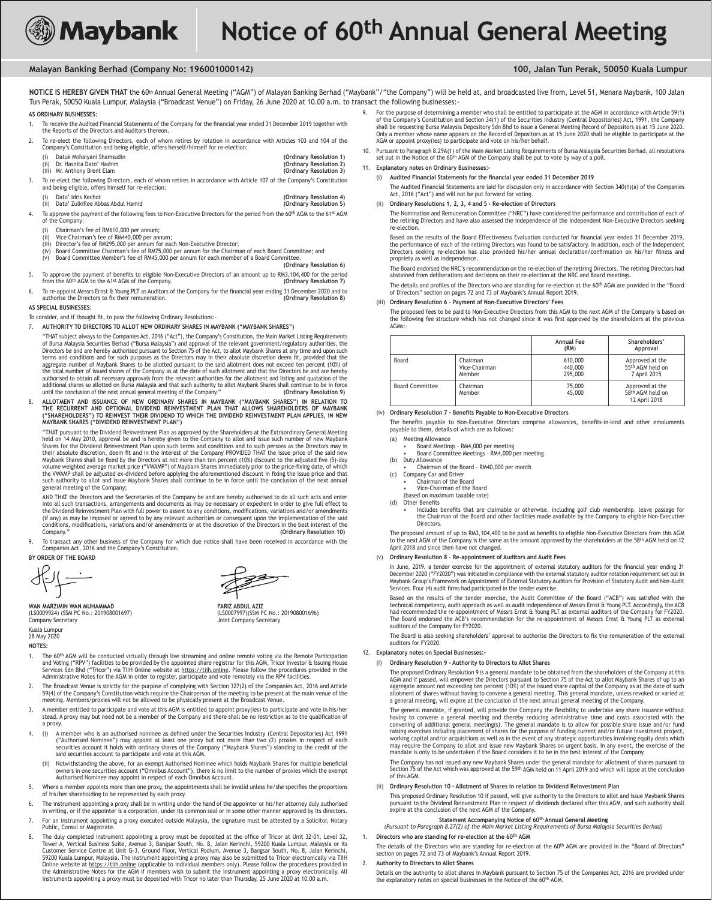

# **Malayan Banking Berhad (Company No: 196001000142) 100, Jalan Tun Perak, 50050 Kuala Lumpur**

NOTICE IS HEREBY GIVEN THAT the 60<sup>th</sup> Annual General Meeting ("AGM") of Malayan Banking Berhad ("Maybank"/"the Company") will be held at, and broadcasted live from, Level 51, Menara Maybank, 100 Jalan Tun Perak, 50050 Kuala Lumpur, Malaysia ("Broadcast Venue") on Friday, 26 June 2020 at 10.00 a.m. to transact the following businesses:-

# **AS ORDINARY BUSINESSES:**

- 1. To receive the Audited Financial Statements of the Company for the financial year ended 31 December 2019 together with the Reports of the Directors and Auditors thereon.
- To re-elect the following Directors, each of whom retires by rotation in accordance with Articles 103 and 104 of the Company's Constitution and being eligible, offers herself/himself for re-election:
	-

- (i) Datuk Mohaiyani Shamsudin<br>
(ii) Dr. Hasnita Dato' Hashim<br>
(iii) Mr. Anthony Brent Elam (Ordinary Resolution 2)<br>
(iii) Mr. Anthony Brent Elam (ii) Dr. Hasnita Dato' Hashim **(Ordinary Resolution 2)** (iii) Mr. Anthony Brent Elam **(Ordinary Resolution 3)** 3. To re-elect the following Directors, each of whom retires in accordance with Article 107 of the Company's Constitution and being eligible, offers himself for re-election:
	-

# (i) Dato' Idris Kechot **(Ordinary Resolution 4)** (ii) Dato' Zulkilee Abbas Abdul Hamid **(Ordinary Resolution 5)**

- To approve the payment of the following fees to Non-Executive Directors for the period from the 60<sup>th</sup> AGM to the 61<sup>st</sup> AGM of the Company
	-
	- (i) Chairman's fee of RM610,000 per annum;<br>(ii) Vice Chairman's fee of RM440,000 per annum;
	-
	- (iii) Director's fee of RM295,000 per annum for each Non-Executive Director;<br>(iv) Board Committee Chairman's fee of RM75,000 per annum for the Chairman of each Board Committee; and<br>(v) Board Committee Member's fee of

### **(Ordinary Resolution 6)**

- 5. To approve the payment of benefits to eligible Non-Executive Directors of an amount up to RM3,104,400 for the period<br>from the 60<sup>th</sup> AGM to the 61<sup>st</sup> AGM of the Company. from the 60<sup>th</sup> AGM to the 61<sup>st</sup> AGM of the Company.
- 6. To re-appoint Messrs Ernst & Young PLT as Auditors of the Company for the inancial year ending 31 December 2020 and to authorise the Directors to ix their remuneration. **(Ordinary Resolution 8)**

# **AS SPECIAL BUSINESSES:**

- To consider, and if thought fit, to pass the following Ordinary Resolutions:-
- 7. **AUTHORITY TO DIRECTORS TO ALLOT NEW ORDINARY SHARES IN MAYBANK ("MAYBANK SHARES")**
- "THAT subject always to the Companies Act, 2016 ("Act"), the Company's Constitution, the Main Market Listing Requirements of Bursa Malaysia Securities Berhad ("Bursa Malaysia") and approval of the relevant government/regulatory authorities, the<br>Directors be and are hereby authorised pursuant to Section 75 of the Act, to allot Maybank Shares a aggregate number of Maybank Shares to be allotted pursuant to the said allotment does not exceed ten percent (10%) of the total number of issued shares of the Company as at the date of such allotment and that the Directors be and are hereby<br>authorised to obtain all necessary approvals from the relevant authorities for the allotment and li until the conclusion of the next annual general meeting of the Company." **(Ordinary Resolution 9)**
- 8. ALLOTMENT AND ISSUANCE OF NEW ORDINARY SHARES IN MAYBANK ("MAYBANK SHARES") IN RELATION TO<br>THE RECURRENT AND OPTIONAL DIVIDEND REINVESTMENT PLAN THAT ALLOWS SHAREHOLDERS OF MAYBANK<br>SHAREHOLDERS") TO REINVEST THEIR DIVID **MAYBANK SHARES ("DIVIDEND REINVESTMENT PLAN")**

"THAT pursuant to the Dividend Reinvestment Plan as approved by the Shareholders at the Extraordinary General Meeting held on 14 May 2010, approval be and is hereby given to the Company to allot and issue such number of new Maybank<br>Shares for the Dividend Reinvestment Plan upon such terms and conditions and to such persons as the Director Maybank Shares shall be fixed by the Directors at not more than ten percent (10%) discount to the adjusted five (5)-day<br>volume weighted average market price ("VWAMP") of Maybank Shares immediately prior to the price-fixing such authority to allot and issue Maybank Shares shall continue to be in force until the conclusion of the next annual general meeting of the Company;

AND THAT the Directors and the Secretaries of the Company be and are hereby authorised to do all such acts and enter<br>into all such transactions, arrangements and documents as may be necessary or expedient in order to give the Dividend Reinvestment Plan with full power to assent to any conditions, modifications, variations and/or amendments<br>(if any) as may be imposed or agreed to by any relevant authorities or consequent upon the implementat Company." **(Ordinary Resolution 10)**

9. To transact any other business of the Company for which due notice shall have been received in accordance with the Companies Act, 2016 and the Company's Constitution.

### **BY ORDER OF THE BOARD**

**WAN MARZIMIN WAN MUHAMMAD**<br>(LS0009924) (SSM PC No.: 201908001697) **FARIZ ABDUL AZIZ** (LS0007997) (SSM PC No.: 201908001696) (LS0009924) (SSM PC No.: 201908001697)<br>Company Secretary Kuala Lumpur

- Joint Company Secretary
- 28 May 2020 **NOTES:**
- 1. The 60<sup>th</sup> AGM will be conducted virtually through live streaming and online remote voting via the Remote Participation<br>and Voting ("RPV") facilities to be provided by the appointed share registrar for this AGM, Tricor Administrative Notes for the AGM in order to register, participate and vote remotely via the RPV facilities
- 7. The Broadcast Venue is strictly for the purpose of complying with Section 327(2) of the Companies Act, 2016 and Article<br>59(4) of the Company's Constitution which require the Chairperson of the meeting to be present at t meeting. Members/proxies will not be allowed to be physically present at the Broadcast Venue.
- 3. A member entitled to participate and vote at this AGM is entitled to appoint proxy(ies) to participate and vote in his/her<br>stead. A proxy may but need not be a member of the Company and there shall be no restriction as a proxy.
- 4. (i) A member who is an authorised nominee as defined under the Securities Industry (Central Depositories) Act 1991 ("Authorised Nominee") may appoint at least one proxy but not more than two (2) proxies in respect of each<br>securities account it holds with ordinary shares of the Company ("Maybank Shares") standing to the credit of the said securities account to participate and vote at this AGM.
	- (ii) Notwithstanding the above, for an exempt Authorised Nominee which holds Maybank Shares for multiple beneficial owners in one securities account ("Omnibus Account"), there is no limit to the number of proxies which the exempt<br>Authorised Nominee may appoint in respect of each Omnibus Account.
- 5. Where a member appoints more than one proxy, the appointments shall be invalid unless he/she specifies the proportions of his/her shareholding to be represented by each proxy.
- 6. The instrument appointing a proxy shall be in writing under the hand of the appointer or his/her attorney duly authorised<br>.in writing, or if the appointer is a corporation, under its common seal or in some other manner
- 7. For an instrument appointing a proxy executed outside Malaysia, the signature must be attested by a Solicitor, Notary Public, Consul or Magistrate.
- ,32 The duly completed instrument appointing a proxy must be deposited at the office of Tricor at Unit 32-01, Level 32<br>Tower A, Vertical Business Suite, Avenue 3, Bangsar South, No. 8, Jalan Kerinchi, 59200 Kuala Lumpur, M Customer Service Centre at Unit G-3, Ground Floor, Vertical Podium, Avenue 3, Bangsar South, No. 8, Jalan Kerinchi,<br>59200 Kuala Lumpur, Malaysia. The instrument appointing a proxy may also be submitted to Tricor electronic the Administrative Notes for the AGM if members wish to submit the instrument appointing a proxy electronically. All<br>instruments appointing a proxy must be deposited with Tricor no later than Thursday, 25 June 2020 at 10.0
- for the purpose of determining a member who shall be entitled to participate at the AGM in accordance with Article 59(1) وfor the Company's Constitution and Section 34(1) of the Securities Industry (Central Departion and S Only a member whose name appears on the Record of Depositors as at 15 June 2020 shall be eligible to participate at the<br>AGM or appoint proxy(ies) to participate and vote on his/her behalf.
- 10. Pursuant to Paragraph 8.29A(1) of the Main Market Listing Requirements of Bursa Malaysia Securities Berhad, all resolutions set out in the Notice of the 60<sup>th</sup> AGM of the Company shall be put to vote by way of a poll.
- **Explanatory notes on Ordinary Businesses:** 
	- (i) **Audited Financial Statements for the inancial year ended 31 December 2019**
		- The Audited Financial Statements are laid for discussion only in accordance with Section 340(1)(a) of the Companies Act, 2016 ("Act") and will not be put forward for voting
	- (ii) **Ordinary Resolutions 1, 2, 3, 4 and 5 Re-election of Directors**

The Nomination and Remuneration Committee ("NRC") have considered the performance and contribution of each of the retiring Directors and have also assessed the independence of the Independent Non-Executive Directors seeking re-election. 

Based on the results of the Board Effectiveness Evaluation conducted for financial year ended 31 December 2019 the performance of each of the retiring Directors was found to be satisfactory. In addition, each of the Independent Directors seeking re-election has also provided his/her annual declaration/confirmation on his/her fitness and propriety as well as independence.

The Board endorsed the NRC's recommendation on the re-election of the retiring Directors. The retiring Directors had abstained from deliberations and decisions on their re-election at the NRC and Board meetings.

The details and profiles of the Directors who are standing for re-election at the 60th AGM are provided in the "Board of Directors" section on pages 72 and 73 of Maybank's Annual Report 2019.

## (iii) **Ordinary Resolution 6 – Payment of Non-Executive Directors' Fees**

The proposed fees to be paid to Non-Executive Directors from this AGM to the next AGM of the Company is based on the following fee structure which has not changed since it was first approved by the shareholders at the previous  $AGMs$ .

|                        |                                     | Annual Fee<br>(RM)            | Shareholders'<br>Approval                                       |
|------------------------|-------------------------------------|-------------------------------|-----------------------------------------------------------------|
| Board                  | Chairman<br>Vice-Chairman<br>Member | 610,000<br>440,000<br>295,000 | Approved at the<br>55 <sup>th</sup> AGM held on<br>7 April 2015 |
| <b>Board Committee</b> | Chairman<br>Member                  | 75,000<br>45,000              | Approved at the<br>58th AGM held on<br>12 April 2018            |

# (iv) **Ordinary Resolution 7 – Beneits Payable to Non-Executive Directors**

The benefits payable to Non-Executive Directors comprise allowances, benefits-in-kind and other emoluments payable to them, details of which are as follows:

- (a) Meeting Allowance
	- Board Meetings RM4,000 per meeting
	- Board Committee Meetings RM4,000 per meeting
- (b) Duty Allowance Chairman of the Board - RM40,000 per month
- (c) Company Car and Driver
- Chairman of the Board
- **Vice-Chairman of the Board** (based on maximum taxable rate)
- (d) Other Benefits
	- Includes benefits that are claimable or otherwise, including golf club membership, leave passage for the Chairman of the Board and other facilities made available by the Company to eligible Non-Executive Directors.

The proposed amount of up to RM3,104,400 to be paid as benefits to eligible Non-Executive Directors from this AGM to the next AGM of the Company is the same as the amount approved by the shareholders at the 58th AGM held on 12 April 2018 and since then have not changed.

(v) **Ordinary Resolution 8 – Re-appointment of Auditors and Audit Fees**

In June, 2019, a tender exercise for the appointment of external statutory auditors for the financial year ending 31 December 2020 ("FY2020") was initiated in compliance with the external statutory auditor rotation requirement set out in Maybank Group's Framework on Appointment of External Statutory Auditors for Provision of Statutory Audit and Non-Audit Services. Four (4) audit firms had participated in the tender exercise.

Based on the results of the tender exercise, the Audit Committee of the Board ("ACB") was satisfied with the technical competency, audit approach as well as audit independence of Messrs Ernst & Young PLT. Accordingly, the ACB<br>had recommended the re-appointment of Messrs Ernst & Young PLT as external auditors of the Company for FY The Board endorsed the ACB's recommendation for the re-appointment of Messrs Ernst & Young PLT as external auditors of the Company for FY2020.

The Board is also seeking shareholders' approval to authorise the Directors to fix the remuneration of the external auditors for FY2020.

# 12. **Explanatory notes on Special Businesses:-**

(i) **Ordinary Resolution 9 - Authority to Directors to Allot Shares** 

The proposed Ordinary Resolution 9 is a general mandate to be obtained from the shareholders of the Company at this AGM and if passed, will empower the Directors pursuant to Section 75 of the Act to allot Maybank Shares of up to an aggregate amount not exceeding ten percent (10%) of the issued share capital of the Company as at the date of such<br>allotment of shares without having to convene a general meeting. This general mandate, unless revoked or va

The general mandate, if granted, will provide the Company the flexibility to undertake any share issuance without<br>having to convene a general meeting and thereby reducing administrative time and costs associated with the convening of additional general meeting(s). The general mandate is to allow for possible share issue and/or fund<br>raising exercises including placement of shares for the purpose of funding current and/or future investment p may require the Company to allot and issue new Maybank Shares on urgent basis. In any event, the exercise of the<br>mandate is only to be undertaken if the Board considers it to be in the best interest of the Company.

The Company has not issued any new Maybank Shares under the general mandate for allotment of shares pursuant to Section 75 of the Act which was approved at the 59th AGM held on 11 April 2019 and which will lapse at the conclusion of this AGM.

## (ii) **Ordinary Resolution 10 – Allotment of Shares in relation to Dividend Reinvestment Plan**

This proposed Ordinary Resolution 10 if passed, will give authority to the Directors to allot and issue Maybank Shares pursuant to the Dividend Reinvestment Plan in respect of dividends declared after this AGM, and such authority shall<br>expire at the conclusion of the next AGM of the Company.

# **Statement Accompanying Notice of 60th Annual General Meeting**

*(Pursuant to Paragraph 8.27(2) of the Main Market Listing Requirements of Bursa Malaysia Securities Berhad)* 1. **Directors who are standing for re-election at the 60th AGM**

The details of the Directors who are standing for re-election at the 60<sup>th</sup> AGM are provided in the "Board of Directors" section on pages 72 and 73 of Maybank's Annual Report 2019.

#### 2. **Authority to Directors to Allot Shares**

Details on the authority to allot shares in Maybank pursuant to Section 75 of the Companies Act, 2016 are provided under<br>the explanatory notes on special businesses in the Notice of the 60<sup>th</sup> AGM.